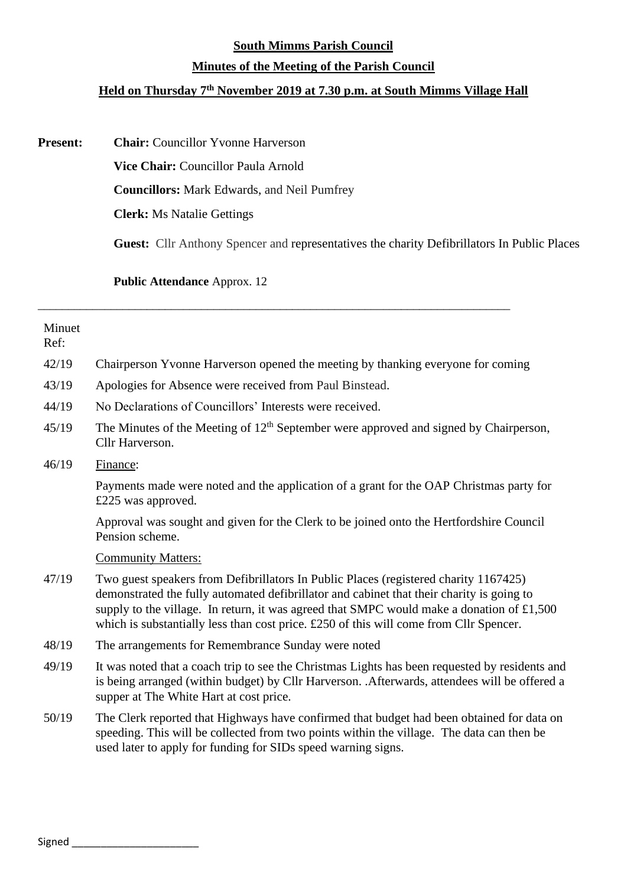### **South Mimms Parish Council**

## **Minutes of the Meeting of the Parish Council**

# **Held on Thursday 7 th November 2019 at 7.30 p.m. at South Mimms Village Hall**

**Present: Chair:** Councillor Yvonne Harverson

**Vice Chair:** Councillor Paula Arnold

**Councillors:** Mark Edwards, and Neil Pumfrey

\_\_\_\_\_\_\_\_\_\_\_\_\_\_\_\_\_\_\_\_\_\_\_\_\_\_\_\_\_\_\_\_\_\_\_\_\_\_\_\_\_\_\_\_\_\_\_\_\_\_\_\_\_\_\_\_\_\_\_\_\_\_\_\_\_\_\_\_\_\_\_\_\_\_\_\_\_\_

**Clerk:** Ms Natalie Gettings

**Guest:** Cllr Anthony Spencer and representatives the charity Defibrillators In Public Places

**Public Attendance** Approx. 12

| Minuet<br>Ref: |                                                                                                                                                                                                                                                                                                                                                                            |
|----------------|----------------------------------------------------------------------------------------------------------------------------------------------------------------------------------------------------------------------------------------------------------------------------------------------------------------------------------------------------------------------------|
| 42/19          | Chairperson Yvonne Harverson opened the meeting by thanking everyone for coming                                                                                                                                                                                                                                                                                            |
| 43/19          | Apologies for Absence were received from Paul Binstead.                                                                                                                                                                                                                                                                                                                    |
| 44/19          | No Declarations of Councillors' Interests were received.                                                                                                                                                                                                                                                                                                                   |
| 45/19          | The Minutes of the Meeting of $12th$ September were approved and signed by Chairperson,<br>Cllr Harverson.                                                                                                                                                                                                                                                                 |
| 46/19          | Finance:                                                                                                                                                                                                                                                                                                                                                                   |
|                | Payments made were noted and the application of a grant for the OAP Christmas party for<br>£225 was approved.                                                                                                                                                                                                                                                              |
|                | Approval was sought and given for the Clerk to be joined onto the Hertfordshire Council<br>Pension scheme.                                                                                                                                                                                                                                                                 |
|                | <b>Community Matters:</b>                                                                                                                                                                                                                                                                                                                                                  |
| 47/19          | Two guest speakers from Defibrillators In Public Places (registered charity 1167425)<br>demonstrated the fully automated defibrillator and cabinet that their charity is going to<br>supply to the village. In return, it was agreed that SMPC would make a donation of $£1,500$<br>which is substantially less than cost price. £250 of this will come from Cllr Spencer. |
| 48/19          | The arrangements for Remembrance Sunday were noted                                                                                                                                                                                                                                                                                                                         |
| 49/19          | It was noted that a coach trip to see the Christmas Lights has been requested by residents and<br>is being arranged (within budget) by Cllr Harverson. .Afterwards, attendees will be offered a<br>supper at The White Hart at cost price.                                                                                                                                 |
| 50/19          | The Clerk reported that Highways have confirmed that budget had been obtained for data on<br>speeding. This will be collected from two points within the village. The data can then be<br>used later to apply for funding for SIDs speed warning signs.                                                                                                                    |